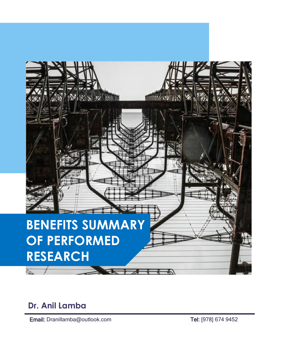

## **Dr. Anil Lamba**

Email: Dranillamba@outlook.com Tel: [978] 674 9452